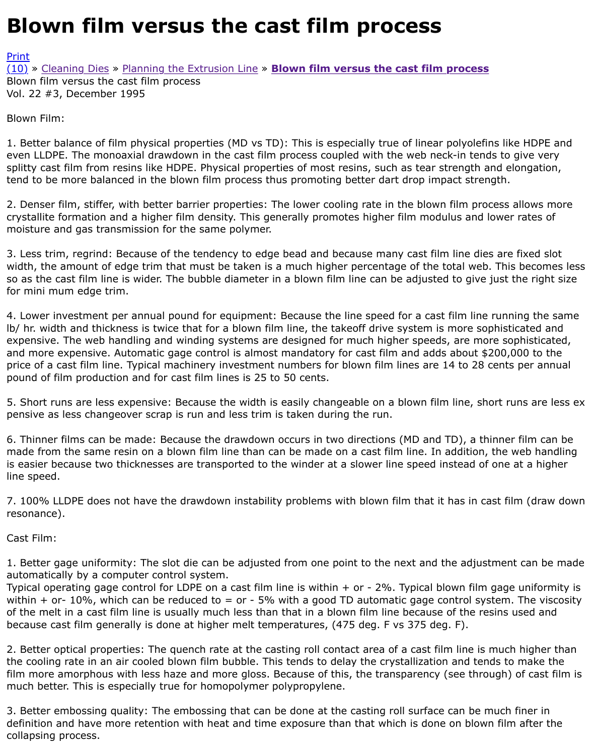Blown Film:

1. Better balance of film physical properties (MD vs TD): This is especially true of linear polyolefins [even](http://extrusionwiki.com/wiki/Print.aspx?Page=CC-V22-3-B) LLDPE. The monoaxial drawdown in the cast film process coupled with the web neck-in tends t [splitt](http://extrusionwiki.com/wiki/CC-V22-3-B.ashx#)y [cast film from](http://extrusionwiki.com/wiki/CC-V22-2-E.ashx) r[esins like HDPE. Physical pro](http://extrusionwiki.com/wiki/CC-V22-3-A.ashx)p[erties of most resins, such as tear strength a](http://extrusionwiki.com/wiki/CC-V22-3-B.ashx)nd tend to be more balanced in the blown film process thus promoting better dart drop impact strength

2. Denser film, stiffer, with better barrier properties: The lower cooling rate in the blown film proces crystallite formation and a higher film density. This generally promotes higher film modulus and low moisture and gas transmission for the same polymer.

3. Less trim, regrind: Because of the tendency to edge bead and because many cast film line dies a width, the amount of edge trim that must be taken is a much higher percentage of the total web. Th so as the cast film line is wider. The bubble diameter in a blown film line can be adjusted to give jus for mini mum edge trim.

4. Lower investment per annual pound for equipment: Because the line speed for a cast film line run lb/ hr. width and thickness is twice that for a blown film line, the takeoff drive system is more sophi expensive. The web handling and winding systems are designed for much higher speeds, are more s and more expensive. Automatic gage control is almost mandatory for cast film and adds about \$200 price of a cast film line. Typical machinery investment numbers for blown film lines are 14 to 28 cents pound of film production and for cast film lines is 25 to 50 cents.

5. Short runs are less expensive: Because the width is easily changeable on a blown film line, short pensive as less changeover scrap is run and less trim is taken during the run.

6. Thinner films can be made: Because the drawdown occurs in two directions (MD and TD), a thinn made from the same resin on a blown film line than can be made on a cast film line. In addition, the is easier because two thicknesses are transported to the winder at a slower line speed instead of on line speed.

7. 100% LLDPE does not have the drawdown instability problems with blown film that it has in cast resonance).

Cast Film:

1. Better gage uniformity: The slot die can be adjusted from one point to the next and the adjustme automatically by a computer control system.

Typical operating gage control for LDPE on a cast film line is within  $+$  or - 2%. Typical blown film ga within  $+$  or- 10%, which can be reduced to = or - 5% with a good TD automatic gage control syster of the melt in a cast film line is usually much less than that in a blown film line because of the resin because cast film generally is done at higher melt temperatures, (475 deg. F vs 375 deg. F).

2. Better optical properties: The quench rate at the casting roll contact area of a cast film line is mu the cooling rate in an air cooled blown film bubble. This tends to delay the crystallization and tends film more amorphous with less haze and more gloss. Because of this, the transparency (see througl much better. This is especially true for homopolymer polypropylene.

3. Better embossing quality: The embossing that can be done at the casting roll surface can be muc definition and have more retention with heat and time exposure than that which is done on blown fi collapsing process.